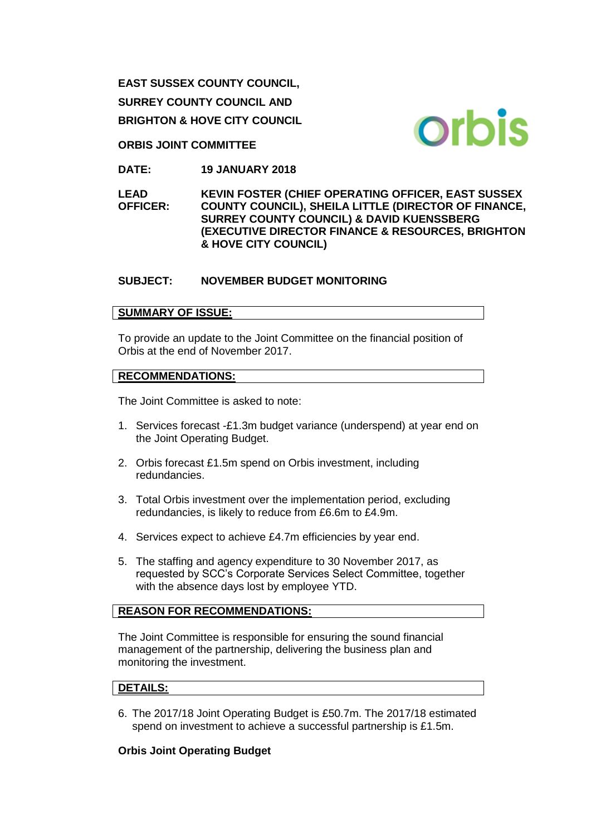**EAST SUSSEX COUNTY COUNCIL, SURREY COUNTY COUNCIL AND BRIGHTON & HOVE CITY COUNCIL**

**ORBIS JOINT COMMITTEE**

**DATE: 19 JANUARY 2018**

**LEAD OFFICER: KEVIN FOSTER (CHIEF OPERATING OFFICER, EAST SUSSEX COUNTY COUNCIL), SHEILA LITTLE (DIRECTOR OF FINANCE, SURREY COUNTY COUNCIL) & DAVID KUENSSBERG (EXECUTIVE DIRECTOR FINANCE & RESOURCES, BRIGHTON & HOVE CITY COUNCIL)** 

# **SUBJECT: NOVEMBER BUDGET MONITORING**

# **SUMMARY OF ISSUE:**

To provide an update to the Joint Committee on the financial position of Orbis at the end of November 2017.

## **RECOMMENDATIONS:**

The Joint Committee is asked to note:

- 1. Services forecast -£1.3m budget variance (underspend) at year end on the Joint Operating Budget.
- 2. Orbis forecast £1.5m spend on Orbis investment, including redundancies.
- 3. Total Orbis investment over the implementation period, excluding redundancies, is likely to reduce from £6.6m to £4.9m.
- 4. Services expect to achieve £4.7m efficiencies by year end.
- 5. The staffing and agency expenditure to 30 November 2017, as requested by SCC's Corporate Services Select Committee, together with the absence days lost by employee YTD.

# **REASON FOR RECOMMENDATIONS:**

The Joint Committee is responsible for ensuring the sound financial management of the partnership, delivering the business plan and monitoring the investment.

# **DETAILS:**

6. The 2017/18 Joint Operating Budget is £50.7m. The 2017/18 estimated spend on investment to achieve a successful partnership is £1.5m.

#### **Orbis Joint Operating Budget**

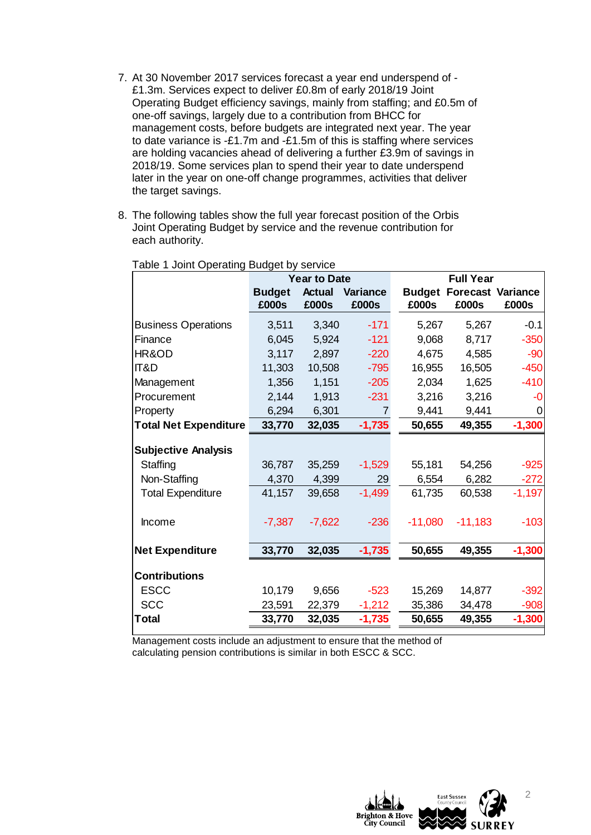- 7. At 30 November 2017 services forecast a year end underspend of £1.3m. Services expect to deliver £0.8m of early 2018/19 Joint Operating Budget efficiency savings, mainly from staffing; and £0.5m of one-off savings, largely due to a contribution from BHCC for management costs, before budgets are integrated next year. The year to date variance is -£1.7m and -£1.5m of this is staffing where services are holding vacancies ahead of delivering a further £3.9m of savings in 2018/19. Some services plan to spend their year to date underspend later in the year on one-off change programmes, activities that deliver the target savings.
- 8. The following tables show the full year forecast position of the Orbis Joint Operating Budget by service and the revenue contribution for each authority.

|                              | <b>Year to Date</b> |               |                 | <b>Full Year</b> |                                 |          |  |
|------------------------------|---------------------|---------------|-----------------|------------------|---------------------------------|----------|--|
|                              | <b>Budget</b>       | <b>Actual</b> | <b>Variance</b> |                  | <b>Budget Forecast Variance</b> |          |  |
|                              | £000s               | £000s         | £000s           | £000s            | £000s                           | £000s    |  |
| <b>Business Operations</b>   | 3,511               | 3,340         | $-171$          | 5,267            | 5,267                           | $-0.1$   |  |
| Finance                      | 6,045               | 5,924         | $-121$          | 9,068            | 8,717                           | $-350$   |  |
| HR&OD                        | 3,117               | 2,897         | $-220$          | 4,675            | 4,585                           | $-90$    |  |
| IT&D                         | 11,303              | 10,508        | $-795$          | 16,955           | 16,505                          | $-450$   |  |
| Management                   | 1,356               | 1,151         | $-205$          | 2,034            | 1,625                           | $-410$   |  |
| Procurement                  | 2,144               | 1,913         | $-231$          | 3,216            | 3,216                           | -0       |  |
| Property                     | 6,294               | 6,301         | $\overline{7}$  | 9,441            | 9,441                           | 0        |  |
| <b>Total Net Expenditure</b> | 33,770              | 32,035        | $-1,735$        | 50,655           | 49,355                          | $-1,300$ |  |
| <b>Subjective Analysis</b>   |                     |               |                 |                  |                                 |          |  |
| Staffing                     | 36,787              | 35,259        | $-1,529$        | 55,181           | 54,256                          | $-925$   |  |
| Non-Staffing                 | 4,370               | 4,399         | 29              | 6,554            | 6,282                           | $-272$   |  |
| <b>Total Expenditure</b>     | 41,157              | 39,658        | $-1,499$        | 61,735           | 60,538                          | $-1,197$ |  |
| Income                       | $-7,387$            | $-7,622$      | $-236$          | $-11,080$        | $-11,183$                       | $-103$   |  |
| <b>Net Expenditure</b>       | 33,770              | 32,035        | $-1,735$        | 50,655           | 49,355                          | $-1,300$ |  |
| <b>Contributions</b>         |                     |               |                 |                  |                                 |          |  |
| <b>ESCC</b>                  | 10,179              | 9,656         | $-523$          | 15,269           | 14,877                          | $-392$   |  |
| <b>SCC</b>                   | 23,591              | 22,379        | $-1,212$        | 35,386           | 34,478                          | $-908$   |  |
| Total                        | 33,770              | 32,035        | $-1,735$        | 50,655           | 49,355                          | $-1,300$ |  |
|                              |                     |               |                 |                  |                                 |          |  |

Table 1 Joint Operating Budget by service

Management costs include an adjustment to ensure that the method of calculating pension contributions is similar in both ESCC & SCC.



2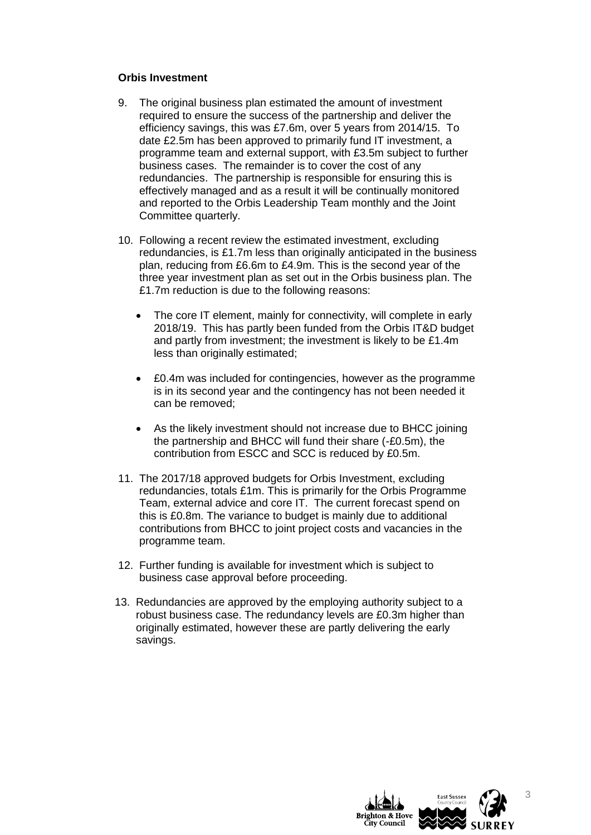#### **Orbis Investment**

- 9. The original business plan estimated the amount of investment required to ensure the success of the partnership and deliver the efficiency savings, this was £7.6m, over 5 years from 2014/15. To date £2.5m has been approved to primarily fund IT investment, a programme team and external support, with £3.5m subject to further business cases. The remainder is to cover the cost of any redundancies. The partnership is responsible for ensuring this is effectively managed and as a result it will be continually monitored and reported to the Orbis Leadership Team monthly and the Joint Committee quarterly.
- 10. Following a recent review the estimated investment, excluding redundancies, is £1.7m less than originally anticipated in the business plan, reducing from £6.6m to £4.9m. This is the second year of the three year investment plan as set out in the Orbis business plan. The £1.7m reduction is due to the following reasons:
	- The core IT element, mainly for connectivity, will complete in early 2018/19. This has partly been funded from the Orbis IT&D budget and partly from investment; the investment is likely to be £1.4m less than originally estimated;
	- £0.4m was included for contingencies, however as the programme is in its second year and the contingency has not been needed it can be removed;
	- As the likely investment should not increase due to BHCC joining the partnership and BHCC will fund their share (-£0.5m), the contribution from ESCC and SCC is reduced by £0.5m.
- 11. The 2017/18 approved budgets for Orbis Investment, excluding redundancies, totals £1m. This is primarily for the Orbis Programme Team, external advice and core IT. The current forecast spend on this is £0.8m. The variance to budget is mainly due to additional contributions from BHCC to joint project costs and vacancies in the programme team.
- 12. Further funding is available for investment which is subject to business case approval before proceeding.
- 13. Redundancies are approved by the employing authority subject to a robust business case. The redundancy levels are £0.3m higher than originally estimated, however these are partly delivering the early savings.



3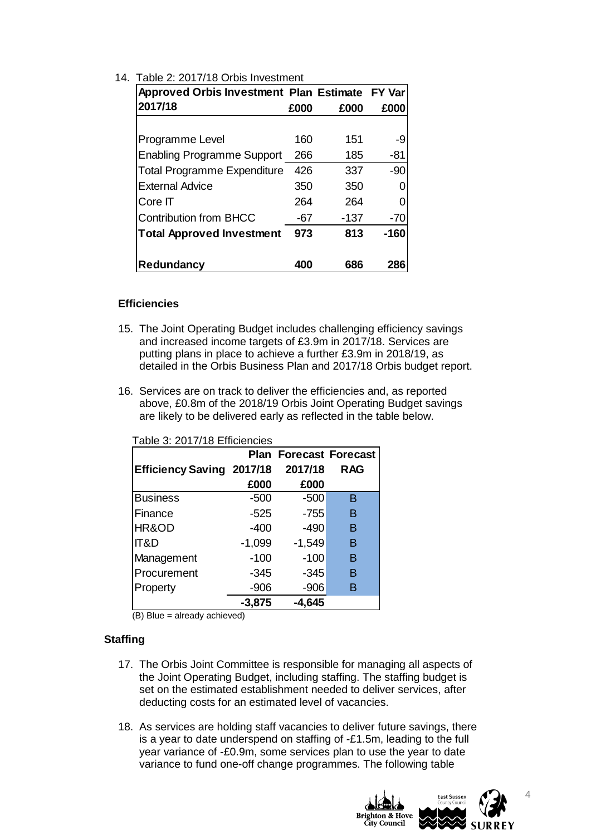| Approved Orbis Investment Plan Estimate FY Var                                                                                                                                                                                                                                         |                  |                  |                               |             |
|----------------------------------------------------------------------------------------------------------------------------------------------------------------------------------------------------------------------------------------------------------------------------------------|------------------|------------------|-------------------------------|-------------|
| 2017/18                                                                                                                                                                                                                                                                                |                  | £000             | £000                          | £000        |
|                                                                                                                                                                                                                                                                                        |                  |                  |                               |             |
| Programme Level<br><b>Enabling Programme Support</b>                                                                                                                                                                                                                                   |                  | 160<br>266       | 151<br>185                    | -9<br>$-81$ |
| <b>Total Programme Expenditure</b>                                                                                                                                                                                                                                                     |                  | 426              | 337                           | $-90$       |
| <b>External Advice</b>                                                                                                                                                                                                                                                                 |                  | 350              | 350                           | 0           |
| Core IT                                                                                                                                                                                                                                                                                |                  | 264              | 264                           | 0           |
| <b>Contribution from BHCC</b>                                                                                                                                                                                                                                                          |                  | $-67$            | $-137$                        | $-70$       |
| <b>Total Approved Investment</b>                                                                                                                                                                                                                                                       |                  | 973              | 813                           | $-160$      |
|                                                                                                                                                                                                                                                                                        |                  |                  |                               |             |
| Redundancy                                                                                                                                                                                                                                                                             |                  | 400              | 686                           | 286         |
| <b>ficiencies</b><br>. The Joint Operating Budget includes challenging efficiency saving                                                                                                                                                                                               |                  |                  |                               |             |
| and increased income targets of £3.9m in 2017/18. Services are<br>putting plans in place to achieve a further £3.9m in 2018/19, as                                                                                                                                                     |                  |                  |                               |             |
| detailed in the Orbis Business Plan and 2017/18 Orbis budget rep                                                                                                                                                                                                                       |                  |                  |                               |             |
| Services are on track to deliver the efficiencies and, as reported<br>above, £0.8m of the 2018/19 Orbis Joint Operating Budget saving<br>are likely to be delivered early as reflected in the table below.                                                                             |                  |                  |                               |             |
| Table 3: 2017/18 Efficiencies                                                                                                                                                                                                                                                          |                  |                  |                               |             |
|                                                                                                                                                                                                                                                                                        |                  |                  | <b>Plan Forecast Forecast</b> |             |
| <b>Efficiency Saving 2017/18</b>                                                                                                                                                                                                                                                       |                  | 2017/18          | <b>RAG</b>                    |             |
|                                                                                                                                                                                                                                                                                        | £000             | £000             |                               |             |
| <b>Business</b><br>Finance                                                                                                                                                                                                                                                             | $-500$<br>$-525$ | $-500$<br>$-755$ | B<br>B                        |             |
| HR&OD                                                                                                                                                                                                                                                                                  | $-400$           | $-490$           | в                             |             |
| IT&D                                                                                                                                                                                                                                                                                   | $-1,099$         | $-1,549$         | B                             |             |
| Management                                                                                                                                                                                                                                                                             | $-100$           | $-100$           | Β                             |             |
| Procurement                                                                                                                                                                                                                                                                            | $-345$           | $-345$           | B                             |             |
|                                                                                                                                                                                                                                                                                        | $-906$           | $-906$           | B                             |             |
|                                                                                                                                                                                                                                                                                        | $-3,875$         | $-4,645$         |                               |             |
| Property<br>(B) Blue = already achieved)                                                                                                                                                                                                                                               |                  |                  |                               |             |
| ng                                                                                                                                                                                                                                                                                     |                  |                  |                               |             |
| The Orbis Joint Committee is responsible for managing all aspects<br>the Joint Operating Budget, including staffing. The staffing budget<br>set on the estimated establishment needed to deliver services, aft<br>deducting costs for an estimated level of vacancies.                 |                  |                  |                               |             |
| As services are holding staff vacancies to deliver future savings, the<br>is a year to date underspend on staffing of -£1.5m, leading to the f<br>year variance of -£0.9m, some services plan to use the year to da<br>variance to fund one-off change programmes. The following table |                  |                  |                               |             |

# 14. Table 2: 2017/18 Orbis Investment

## **Efficiencies**

- 15. The Joint Operating Budget includes challenging efficiency savings and increased income targets of £3.9m in 2017/18. Services are putting plans in place to achieve a further £3.9m in 2018/19, as detailed in the Orbis Business Plan and 2017/18 Orbis budget report.
- 16. Services are on track to deliver the efficiencies and, as reported above, £0.8m of the 2018/19 Orbis Joint Operating Budget savings are likely to be delivered early as reflected in the table below.

|                                  |          | <b>Plan Forecast Forecast</b> |            |
|----------------------------------|----------|-------------------------------|------------|
| <b>Efficiency Saving 2017/18</b> |          | 2017/18                       | <b>RAG</b> |
|                                  | £000     | £000                          |            |
| <b>Business</b>                  | $-500$   | $-500$                        | в          |
| Finance                          | $-525$   | $-755$                        | B          |
| HR&OD                            | $-400$   | $-490$                        | B          |
| IT&D                             | $-1,099$ | $-1,549$                      | в          |
| Management                       | $-100$   | $-100$                        | B          |
| Procurement                      | $-345$   | $-345$                        | B          |
| Property                         | $-906$   | $-906$                        | в          |
|                                  | $-3,875$ | $-4,645$                      |            |

# **Staffing**

- 17. The Orbis Joint Committee is responsible for managing all aspects of the Joint Operating Budget, including staffing. The staffing budget is set on the estimated establishment needed to deliver services, after deducting costs for an estimated level of vacancies.
- 18. As services are holding staff vacancies to deliver future savings, there is a year to date underspend on staffing of -£1.5m, leading to the full year variance of -£0.9m, some services plan to use the year to date

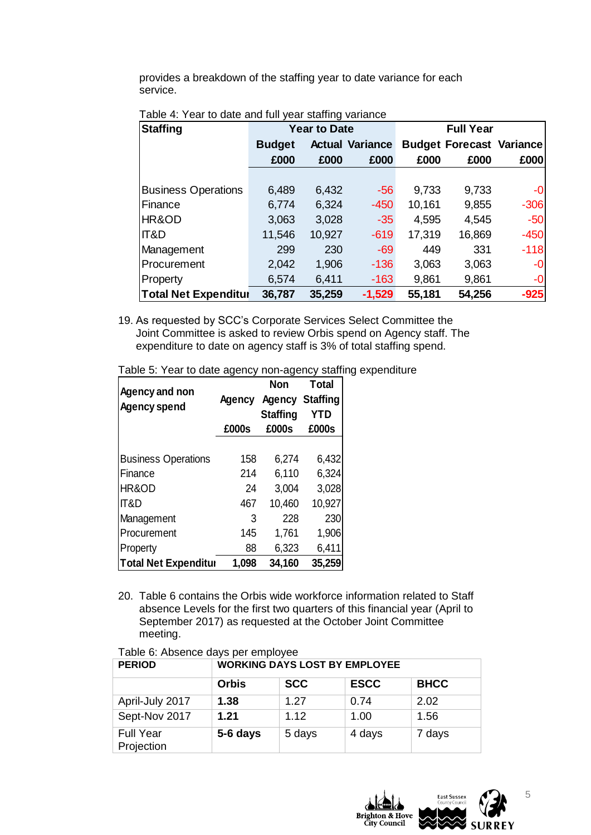provides a breakdown of the staffing year to date variance for each service.

| <b>Staffing</b>             | <b>Year to Date</b> |        |                        | <b>Full Year</b>                |        |        |
|-----------------------------|---------------------|--------|------------------------|---------------------------------|--------|--------|
|                             | <b>Budget</b>       |        | <b>Actual Variance</b> | <b>Budget Forecast Variance</b> |        |        |
|                             | £000                | £000   | £000                   | £000                            | £000   | £000   |
|                             |                     |        |                        |                                 |        |        |
| <b>Business Operations</b>  | 6,489               | 6,432  | $-56$                  | 9,733                           | 9,733  | -0     |
| <b>Finance</b>              | 6,774               | 6,324  | $-450$                 | 10,161                          | 9,855  | $-306$ |
| HR&OD                       | 3,063               | 3,028  | $-35$                  | 4,595                           | 4,545  | $-50$  |
| <b>IT&amp;D</b>             | 11,546              | 10,927 | $-619$                 | 17,319                          | 16,869 | $-450$ |
| Management                  | 299                 | 230    | $-69$                  | 449                             | 331    | $-118$ |
| Procurement                 | 2,042               | 1,906  | $-136$                 | 3,063                           | 3,063  | $-0$   |
| Property                    | 6,574               | 6,411  | $-163$                 | 9,861                           | 9,861  | -0     |
| <b>Total Net Expenditur</b> | 36,787              | 35,259 | $-1,529$               | 55,181                          | 54,256 | $-925$ |

# Table 4: Year to date and full year staffing variance

19. As requested by SCC's Corporate Services Select Committee the Joint Committee is asked to review Orbis spend on Agency staff. The expenditure to date on agency staff is 3% of total staffing spend.

Table 5: Year to date agency non-agency staffing expenditure

| Agency and non              | Agency | <b>Non</b><br><b>Agency Staffing</b> | <b>Total</b> |  |
|-----------------------------|--------|--------------------------------------|--------------|--|
| <b>Agency spend</b>         |        | <b>Staffing</b>                      | <b>YTD</b>   |  |
|                             | £000s  | £000s                                | £000s        |  |
|                             |        |                                      |              |  |
| <b>Business Operations</b>  | 158    | 6,274                                | 6,432        |  |
| Finance                     | 214    | 6,110                                | 6,324        |  |
| HR&OD                       | 24     | 3,004                                | 3,028        |  |
| <b>IT&amp;D</b>             | 467    | 10,460                               | 10,927       |  |
| Management                  | 3      | 228                                  | 230          |  |
| Procurement                 | 145    | 1,761                                | 1,906        |  |
| Property                    | 88     | 6,323                                | 6,411        |  |
| <b>Total Net Expenditur</b> | 1,098  | 34,160                               | 35,259       |  |

20. Table 6 contains the Orbis wide workforce information related to Staff absence Levels for the first two quarters of this financial year (April to September 2017) as requested at the October Joint Committee meeting.

| <b>PERIOD</b>                  | <b>WORKING DAYS LOST BY EMPLOYEE</b> |            |             |             |  |  |
|--------------------------------|--------------------------------------|------------|-------------|-------------|--|--|
|                                | <b>Orbis</b>                         | <b>SCC</b> | <b>ESCC</b> | <b>BHCC</b> |  |  |
| April-July 2017                | 1.38                                 | 1.27       | 0.74        | 2.02        |  |  |
| Sept-Nov 2017                  | 1.21                                 | 1.12       | 1.00        | 1.56        |  |  |
| <b>Full Year</b><br>Projection | 5-6 days                             | 5 days     | 4 days      | 7 days      |  |  |

#### Table 6: Absence days per employee